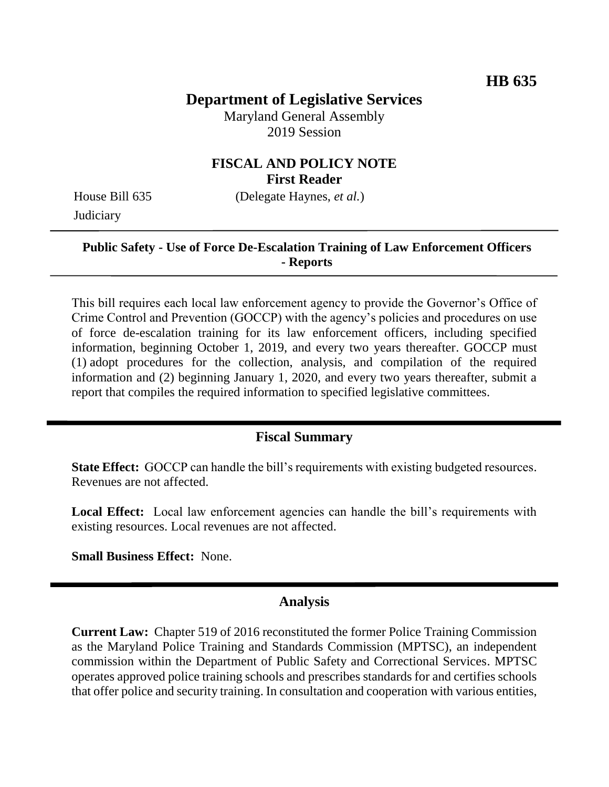# **Department of Legislative Services**

Maryland General Assembly 2019 Session

### **FISCAL AND POLICY NOTE First Reader**

House Bill 635 (Delegate Haynes, *et al.*) **Judiciary** 

### **Public Safety - Use of Force De-Escalation Training of Law Enforcement Officers - Reports**

This bill requires each local law enforcement agency to provide the Governor's Office of Crime Control and Prevention (GOCCP) with the agency's policies and procedures on use of force de-escalation training for its law enforcement officers, including specified information, beginning October 1, 2019, and every two years thereafter. GOCCP must (1) adopt procedures for the collection, analysis, and compilation of the required information and (2) beginning January 1, 2020, and every two years thereafter, submit a report that compiles the required information to specified legislative committees.

#### **Fiscal Summary**

**State Effect:** GOCCP can handle the bill's requirements with existing budgeted resources. Revenues are not affected.

Local Effect: Local law enforcement agencies can handle the bill's requirements with existing resources. Local revenues are not affected.

**Small Business Effect:** None.

#### **Analysis**

**Current Law:** Chapter 519 of 2016 reconstituted the former Police Training Commission as the Maryland Police Training and Standards Commission (MPTSC), an independent commission within the Department of Public Safety and Correctional Services. MPTSC operates approved police training schools and prescribes standards for and certifies schools that offer police and security training. In consultation and cooperation with various entities,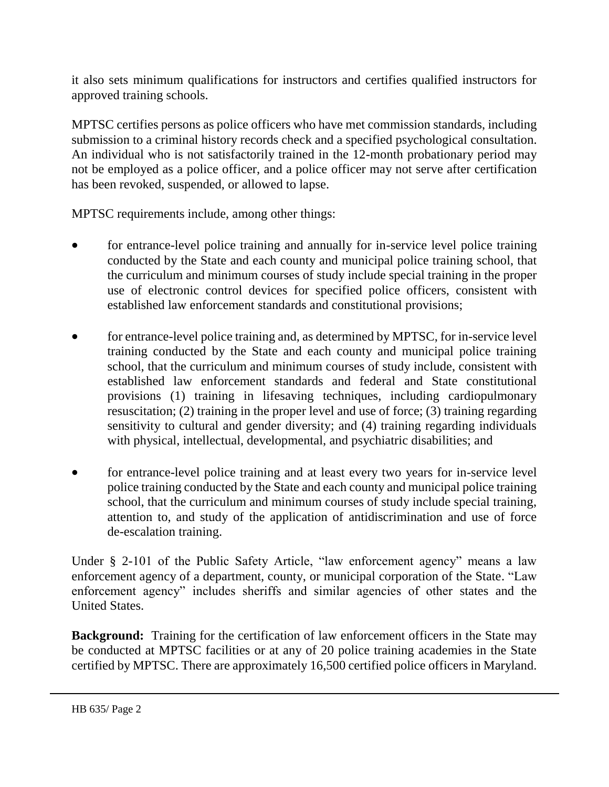it also sets minimum qualifications for instructors and certifies qualified instructors for approved training schools.

MPTSC certifies persons as police officers who have met commission standards, including submission to a criminal history records check and a specified psychological consultation. An individual who is not satisfactorily trained in the 12-month probationary period may not be employed as a police officer, and a police officer may not serve after certification has been revoked, suspended, or allowed to lapse.

MPTSC requirements include, among other things:

- for entrance-level police training and annually for in-service level police training conducted by the State and each county and municipal police training school, that the curriculum and minimum courses of study include special training in the proper use of electronic control devices for specified police officers, consistent with established law enforcement standards and constitutional provisions;
- for entrance-level police training and, as determined by MPTSC, for in-service level training conducted by the State and each county and municipal police training school, that the curriculum and minimum courses of study include, consistent with established law enforcement standards and federal and State constitutional provisions (1) training in lifesaving techniques, including cardiopulmonary resuscitation; (2) training in the proper level and use of force; (3) training regarding sensitivity to cultural and gender diversity; and (4) training regarding individuals with physical, intellectual, developmental, and psychiatric disabilities; and
- for entrance-level police training and at least every two years for in-service level police training conducted by the State and each county and municipal police training school, that the curriculum and minimum courses of study include special training, attention to, and study of the application of antidiscrimination and use of force de-escalation training.

Under § 2-101 of the Public Safety Article, "law enforcement agency" means a law enforcement agency of a department, county, or municipal corporation of the State. "Law enforcement agency" includes sheriffs and similar agencies of other states and the United States.

**Background:** Training for the certification of law enforcement officers in the State may be conducted at MPTSC facilities or at any of 20 police training academies in the State certified by MPTSC. There are approximately 16,500 certified police officers in Maryland.